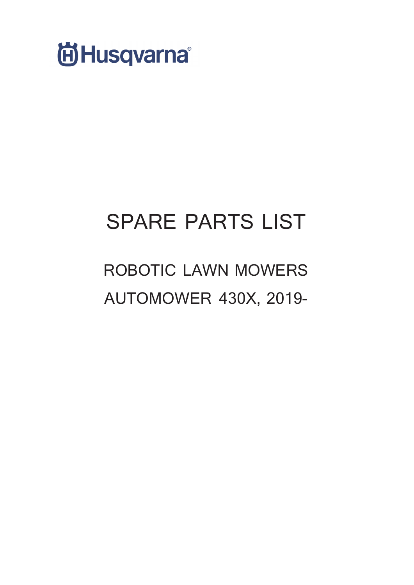

# **SPARE PARTS LIST**

## **ROBOTIC LAWN MOWERS AUTOMOWER 430X, 2019-**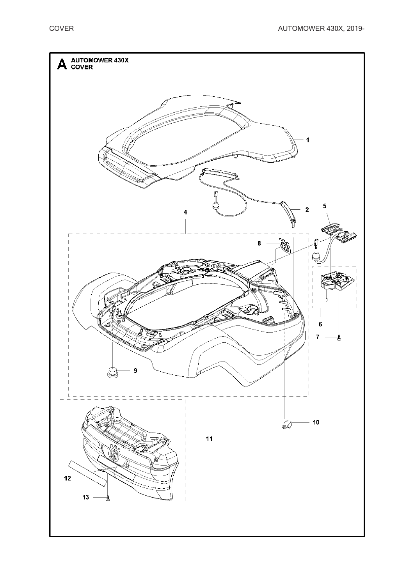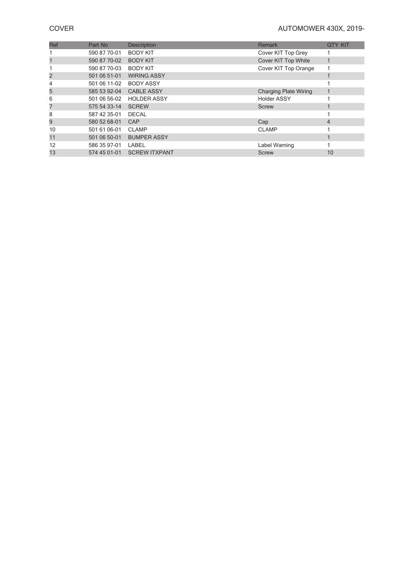### **COVER** COVER **COVER**

| Ref | Part No      | <b>Description</b>   | <b>Remark</b>                | <b>QTY KIT</b> |
|-----|--------------|----------------------|------------------------------|----------------|
|     | 590 87 70-01 | <b>BODY KIT</b>      | Cover KIT Top Grey           |                |
|     | 590 87 70-02 | <b>BODY KIT</b>      | Cover KIT Top White          |                |
|     | 590 87 70-03 | <b>BODY KIT</b>      | Cover KIT Top Orange         |                |
|     | 501 06 51-01 | <b>WIRING ASSY</b>   |                              |                |
|     | 501 06 11-02 | <b>BODY ASSY</b>     |                              |                |
| 5   | 585 53 92-04 | <b>CABLE ASSY</b>    | <b>Charging Plate Wiring</b> |                |
| 6   | 501 06 56-02 | <b>HOLDER ASSY</b>   | <b>Holder ASSY</b>           |                |
|     | 575 54 33-14 | <b>SCREW</b>         | <b>Screw</b>                 |                |
| 8   | 587 42 35-01 | <b>DECAL</b>         |                              |                |
| 9   | 580 52 68-01 | CAP                  | Cap                          | 4              |
| 10  | 501 61 06-01 | <b>CLAMP</b>         | <b>CLAMP</b>                 |                |
| 11  | 501 06 50-01 | <b>BUMPER ASSY</b>   |                              |                |
| 12  | 586 35 97-01 | LABEL                | Label Warning                |                |
| 13  | 574 45 01-01 | <b>SCREW ITXPANT</b> | <b>Screw</b>                 | 10             |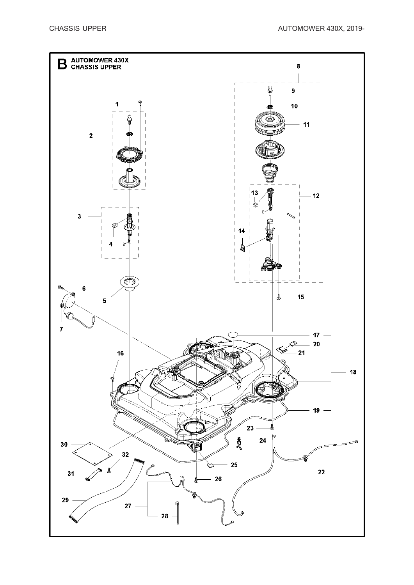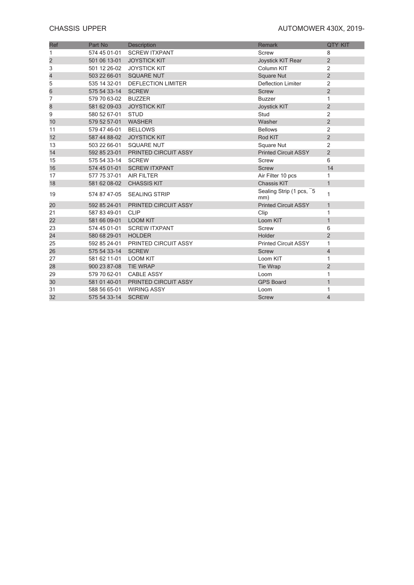### **CHASSIS UPPER CHASSIS UPPER CHASSIS UPPER**

| Ref                     | Part No               | <b>Description</b>        | <b>Remark</b>                  | <b>QTY KIT</b> |
|-------------------------|-----------------------|---------------------------|--------------------------------|----------------|
| 1                       | 574 45 01-01          | <b>SCREW ITXPANT</b>      | Screw                          | 8              |
| $\overline{\mathbf{c}}$ | 501 06 13-01          | <b>JOYSTICK KIT</b>       | Joystick KIT Rear              | $\overline{2}$ |
| 3                       | 501 12 26-02          | <b>JOYSTICK KIT</b>       | Column KIT                     | $\overline{2}$ |
| 4                       | 503 22 66-01          | <b>SQUARE NUT</b>         | <b>Square Nut</b>              | $\overline{2}$ |
| 5                       | 535 14 32-01          | <b>DEFLECTION LIMITER</b> | <b>Deflection Limiter</b>      | $\overline{2}$ |
| 6                       | 575 54 33-14          | <b>SCREW</b>              | <b>Screw</b>                   | $\overline{2}$ |
| 7                       | 579 70 63-02          | <b>BUZZER</b>             | <b>Buzzer</b>                  | $\mathbf{1}$   |
| 8                       | 581 62 09-03          | <b>JOYSTICK KIT</b>       | Joystick KIT                   | $\overline{2}$ |
| 9                       | 580 52 67-01          | <b>STUD</b>               | Stud                           | $\overline{2}$ |
| 10                      | 579 52 57-01          | <b>WASHER</b>             | Washer                         | $\overline{2}$ |
| 11                      | 579 47 46-01          | <b>BELLOWS</b>            | <b>Bellows</b>                 | $\overline{2}$ |
| 12                      |                       | 587 44 88-02 JOYSTICK KIT | Rod KIT                        | $\overline{2}$ |
| 13                      | 503 22 66-01          | <b>SQUARE NUT</b>         | Square Nut                     | 2              |
| 14                      | 592 85 23-01          | PRINTED CIRCUIT ASSY      | <b>Printed Circuit ASSY</b>    | $\overline{2}$ |
| 15                      | 575 54 33-14          | <b>SCREW</b>              | Screw                          | 6              |
| 16                      | 574 45 01-01          | <b>SCREW ITXPANT</b>      | <b>Screw</b>                   | 14             |
| 17                      | 577 75 37-01          | <b>AIR FILTER</b>         | Air Filter 10 pcs              | $\mathbf{1}$   |
| 18                      | 581 62 08-02          | <b>CHASSIS KIT</b>        | <b>Chassis KIT</b>             | $\mathbf{1}$   |
| 19                      | 574 87 47-05          | <b>SEALING STRIP</b>      | Sealing Strip (1 pcs, 5<br>mm) | $\mathbf{1}$   |
| 20                      | 592 85 24-01          | PRINTED CIRCUIT ASSY      | <b>Printed Circuit ASSY</b>    | $\mathbf{1}$   |
| 21                      | 587 83 49-01          | <b>CLIP</b>               | Clip                           | 1              |
| 22                      | 581 66 09-01 LOOM KIT |                           | Loom KIT                       | $\mathbf{1}$   |
| 23                      | 574 45 01-01          | <b>SCREW ITXPANT</b>      | Screw                          | 6              |
| 24                      | 580 68 29-01          | <b>HOLDER</b>             | Holder                         | $\overline{2}$ |
| 25                      | 592 85 24-01          | PRINTED CIRCUIT ASSY      | <b>Printed Circuit ASSY</b>    | $\mathbf{1}$   |
| 26                      | 575 54 33-14          | <b>SCREW</b>              | <b>Screw</b>                   | $\overline{4}$ |
| 27                      | 581 62 11-01          | <b>LOOM KIT</b>           | Loom KIT                       | $\mathbf{1}$   |
| 28                      | 900 23 87-08          | <b>TIE WRAP</b>           | Tie Wrap                       | $\overline{2}$ |
| 29                      | 579 70 62-01          | <b>CABLE ASSY</b>         | Loom                           | 1              |
| 30                      | 581 01 40-01          | PRINTED CIRCUIT ASSY      | <b>GPS Board</b>               | $\mathbf{1}$   |
| 31                      | 588 56 65-01          | <b>WIRING ASSY</b>        | Loom                           | 1              |
| 32                      | 575 54 33-14          | <b>SCREW</b>              | <b>Screw</b>                   | $\overline{4}$ |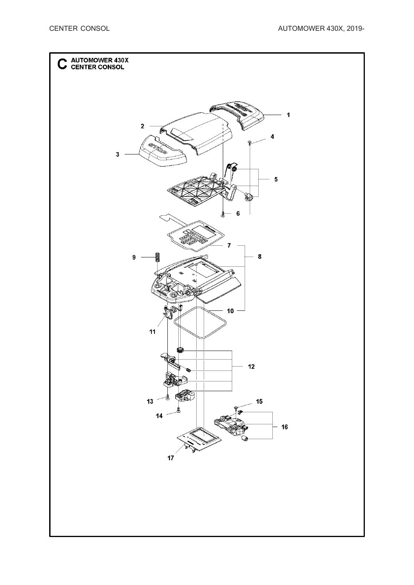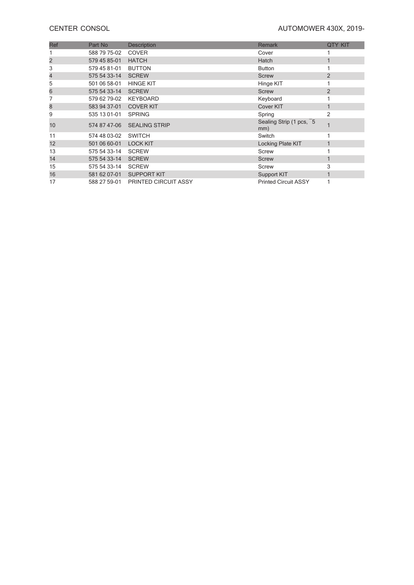### **CENTER CONSOL CENTER** CONSOL

| Ref | Part No      | Description                       | <b>Remark</b>                  | <b>QTY KIT</b> |
|-----|--------------|-----------------------------------|--------------------------------|----------------|
|     | 588 79 75-02 | <b>COVER</b>                      | Cover                          |                |
| 2   | 579 45 85-01 | <b>HATCH</b>                      | Hatch                          |                |
| 3   | 579 45 81-01 | <b>BUTTON</b>                     | <b>Button</b>                  |                |
| 4   | 575 54 33-14 | <b>SCREW</b>                      | <b>Screw</b>                   | $\overline{2}$ |
| 5   | 501 06 58-01 | <b>HINGE KIT</b>                  | Hinge KIT                      |                |
| 6   | 575 54 33-14 | <b>SCREW</b>                      | <b>Screw</b>                   | $\overline{2}$ |
|     | 579 62 79-02 | <b>KEYBOARD</b>                   | Keyboard                       |                |
| 8   | 583 94 37-01 | <b>COVER KIT</b>                  | Cover KIT                      |                |
| 9   | 535 13 01-01 | <b>SPRING</b>                     | Spring                         | 2              |
| 10  | 574 87 47-06 | <b>SEALING STRIP</b>              | Sealing Strip (1 pcs, 5<br>mm) |                |
| 11  | 574 48 03-02 | <b>SWITCH</b>                     | Switch                         |                |
| 12  | 501 06 60-01 | <b>LOCK KIT</b>                   | Locking Plate KIT              |                |
| 13  | 575 54 33-14 | <b>SCREW</b>                      | Screw                          |                |
| 14  | 575 54 33-14 | <b>SCREW</b>                      | <b>Screw</b>                   |                |
| 15  | 575 54 33-14 | <b>SCREW</b>                      | Screw                          | 3              |
| 16  | 581 62 07-01 | <b>SUPPORT KIT</b>                | Support KIT                    | 1              |
| 17  |              | 588 27 59-01 PRINTED CIRCUIT ASSY | <b>Printed Circuit ASSY</b>    |                |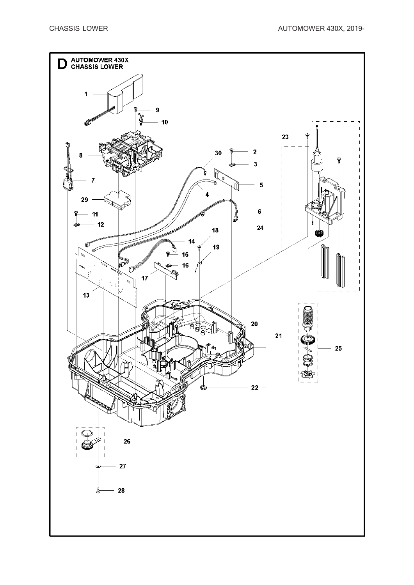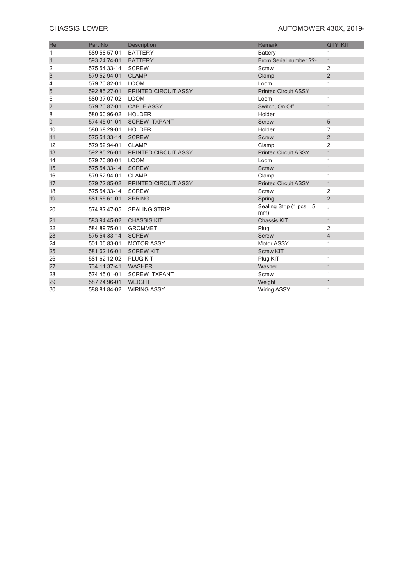### **CHASSIS LOWER CHASSIS LOWER AUTOMOWER** 430X, 2019-

| Ref          | Part No      | Description                 | <b>Remark</b>                  | <b>QTY KIT</b> |
|--------------|--------------|-----------------------------|--------------------------------|----------------|
| 1            | 589 58 57-01 | <b>BATTERY</b>              | <b>Battery</b>                 | 1              |
| $\mathbf{1}$ | 593 24 74-01 | <b>BATTERY</b>              | From Serial number ??-         | $\mathbf{1}$   |
| 2            | 575 54 33-14 | <b>SCREW</b>                | <b>Screw</b>                   | $\overline{2}$ |
| 3            | 579 52 94-01 | <b>CLAMP</b>                | Clamp                          | $\overline{2}$ |
| 4            | 579 70 82-01 | <b>LOOM</b>                 | Loom                           | $\mathbf{1}$   |
| 5            | 592 85 27-01 | PRINTED CIRCUIT ASSY        | <b>Printed Circuit ASSY</b>    | $\mathbf{1}$   |
| 6            | 580 37 07-02 | <b>LOOM</b>                 | Loom                           | 1              |
| 7            | 579 70 87-01 | <b>CABLE ASSY</b>           | Switch, On Off                 | $\mathbf{1}$   |
| 8            | 580 60 96-02 | <b>HOLDER</b>               | Holder                         | $\mathbf{1}$   |
| 9            | 574 45 01-01 | <b>SCREW ITXPANT</b>        | <b>Screw</b>                   | 5              |
| 10           | 580 68 29-01 | <b>HOLDER</b>               | Holder                         | 7              |
| 11           | 575 54 33-14 | <b>SCREW</b>                | <b>Screw</b>                   | $\overline{2}$ |
| 12           | 579 52 94-01 | <b>CLAMP</b>                | Clamp                          | $\overline{2}$ |
| 13           | 592 85 26-01 | PRINTED CIRCUIT ASSY        | <b>Printed Circuit ASSY</b>    | $\mathbf{1}$   |
| 14           | 579 70 80-01 | <b>LOOM</b>                 | Loom                           | 1              |
| 15           | 575 54 33-14 | <b>SCREW</b>                | <b>Screw</b>                   | $\mathbf{1}$   |
| 16           | 579 52 94-01 | <b>CLAMP</b>                | Clamp                          | 1              |
| 17           | 579 72 85-02 | <b>PRINTED CIRCUIT ASSY</b> | <b>Printed Circuit ASSY</b>    | $\mathbf{1}$   |
| 18           | 575 54 33-14 | <b>SCREW</b>                | <b>Screw</b>                   | $\overline{2}$ |
| 19           | 581 55 61-01 | <b>SPRING</b>               | Spring                         | $\overline{2}$ |
| 20           | 574 87 47-05 | <b>SEALING STRIP</b>        | Sealing Strip (1 pcs, 5<br>mm) | 1              |
| 21           | 583 94 45-02 | <b>CHASSIS KIT</b>          | <b>Chassis KIT</b>             | $\mathbf{1}$   |
| 22           | 584 89 75-01 | <b>GROMMET</b>              | Plug                           | $\overline{2}$ |
| 23           | 575 54 33-14 | <b>SCREW</b>                | <b>Screw</b>                   | $\overline{4}$ |
| 24           | 501 06 83-01 | <b>MOTOR ASSY</b>           | Motor ASSY                     | 1              |
| 25           | 581 62 16-01 | <b>SCREW KIT</b>            | <b>Screw KIT</b>               | $\mathbf{1}$   |
| 26           | 581 62 12-02 | <b>PLUG KIT</b>             | Plug KIT                       | $\mathbf{1}$   |
| 27           | 734 11 37-41 | <b>WASHER</b>               | Washer                         | $\mathbf{1}$   |
| 28           | 574 45 01-01 | <b>SCREW ITXPANT</b>        | <b>Screw</b>                   | 1              |
| 29           | 587 24 96-01 | <b>WEIGHT</b>               | Weight                         | $\mathbf{1}$   |
| 30           | 588 81 84-02 | <b>WIRING ASSY</b>          | <b>Wiring ASSY</b>             | 1              |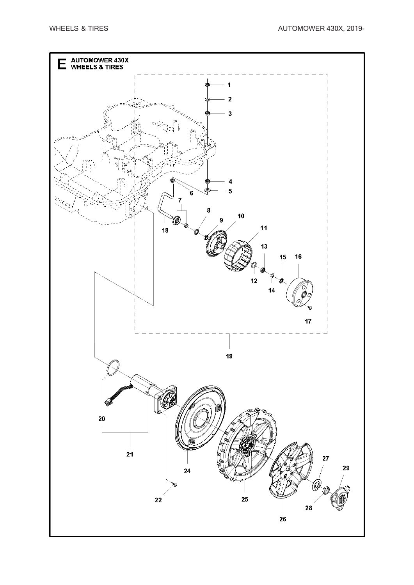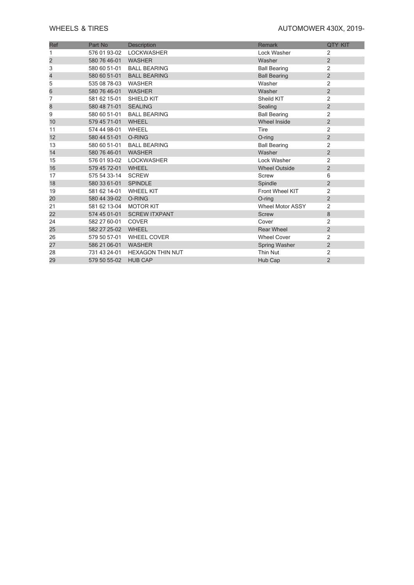### **WHEELS & TIRES WHEELS & TIRES AUTOMOWER 430X, 2019-**

| <b>Ref</b>     | Part No      | <b>Description</b>      | <b>Remark</b>           | <b>QTY KIT</b> |
|----------------|--------------|-------------------------|-------------------------|----------------|
|                | 576 01 93-02 | <b>LOCKWASHER</b>       | Lock Washer             | 2              |
| $\overline{c}$ | 580 76 46-01 | WASHER                  | Washer                  | $\overline{2}$ |
| 3              | 580 60 51-01 | <b>BALL BEARING</b>     | <b>Ball Bearing</b>     | $\overline{c}$ |
| 4              | 580 60 51-01 | <b>BALL BEARING</b>     | <b>Ball Bearing</b>     | $\overline{2}$ |
| 5              | 535 08 78-03 | <b>WASHER</b>           | Washer                  | $\overline{2}$ |
| 6              | 580 76 46-01 | <b>WASHER</b>           | Washer                  | $\overline{2}$ |
| 7              | 581 62 15-01 | SHIELD KIT              | Sheild KIT              | $\overline{2}$ |
| 8              | 580 48 71-01 | <b>SEALING</b>          | Sealing                 | $\overline{2}$ |
| 9              | 580 60 51-01 | <b>BALL BEARING</b>     | <b>Ball Bearing</b>     | $\overline{2}$ |
| 10             | 579 45 71-01 | <b>WHEEL</b>            | <b>Wheel Inside</b>     | $\overline{2}$ |
| 11             | 574 44 98-01 | WHEEL                   | Tire                    | $\overline{c}$ |
| 12             | 580 44 51-01 | O-RING                  | O-ring                  | $\overline{2}$ |
| 13             | 580 60 51-01 | <b>BALL BEARING</b>     | <b>Ball Bearing</b>     | $\overline{2}$ |
| 14             | 580 76 46-01 | WASHER                  | Washer                  | $\overline{2}$ |
| 15             | 576 01 93-02 | <b>LOCKWASHER</b>       | Lock Washer             | $\overline{2}$ |
| 16             | 579 45 72-01 | <b>WHEEL</b>            | <b>Wheel Outside</b>    | $\overline{2}$ |
| 17             | 575 54 33-14 | <b>SCREW</b>            | <b>Screw</b>            | 6              |
| 18             | 580 33 61-01 | <b>SPINDLE</b>          | Spindle                 | $\overline{2}$ |
| 19             | 581 62 14-01 | <b>WHEEL KIT</b>        | Front Wheel KIT         | $\overline{2}$ |
| 20             | 580 44 39-02 | O-RING                  | $O$ -ring               | $\overline{2}$ |
| 21             | 581 62 13-04 | <b>MOTOR KIT</b>        | <b>Wheel Motor ASSY</b> | $\overline{2}$ |
| 22             | 574 45 01-01 | <b>SCREW ITXPANT</b>    | <b>Screw</b>            | $\bf 8$        |
| 24             | 582 27 60-01 | <b>COVER</b>            | Cover                   | $\overline{2}$ |
| 25             | 582 27 25-02 | <b>WHEEL</b>            | <b>Rear Wheel</b>       | $\overline{2}$ |
| 26             | 579 50 57-01 | <b>WHEEL COVER</b>      | <b>Wheel Cover</b>      | $\overline{2}$ |
| 27             | 586 21 06-01 | WASHER                  | Spring Washer           | $\overline{2}$ |
| 28             | 731 43 24-01 | <b>HEXAGON THIN NUT</b> | <b>Thin Nut</b>         | 2              |
| 29             | 579 50 55-02 | <b>HUB CAP</b>          | Hub Cap                 | $\overline{2}$ |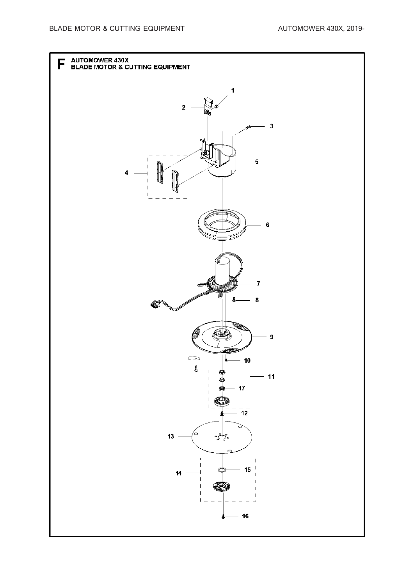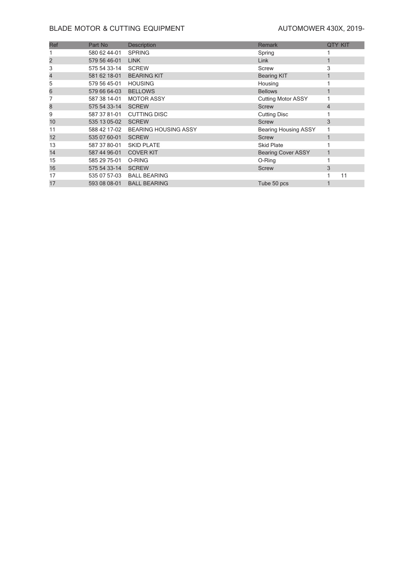### **BLADE MOTOR & CUTTING EQUIPMENT** AUTOMOWER 430X, 2019-

| Ref | Part No      | <b>Description</b>          | <b>Remark</b>               | <b>QTY KIT</b> |    |
|-----|--------------|-----------------------------|-----------------------------|----------------|----|
|     | 580 62 44-01 | <b>SPRING</b>               | Spring                      |                |    |
| 2   | 579 56 46-01 | <b>LINK</b>                 | Link                        |                |    |
| 3   | 575 54 33-14 | <b>SCREW</b>                | Screw                       | 3              |    |
| 4   | 581 62 18-01 | <b>BEARING KIT</b>          | <b>Bearing KIT</b>          |                |    |
| 5   | 579 56 45-01 | <b>HOUSING</b>              | Housing                     |                |    |
| 6   | 579 66 64-03 | <b>BELLOWS</b>              | <b>Bellows</b>              |                |    |
|     | 587 38 14-01 | <b>MOTOR ASSY</b>           | <b>Cutting Motor ASSY</b>   |                |    |
| 8   | 575 54 33-14 | <b>SCREW</b>                | <b>Screw</b>                | $\overline{4}$ |    |
| 9   | 587 37 81-01 | <b>CUTTING DISC</b>         | <b>Cutting Disc</b>         |                |    |
| 10  | 535 13 05-02 | <b>SCREW</b>                | <b>Screw</b>                | 3              |    |
| 11  | 588 42 17-02 | <b>BEARING HOUSING ASSY</b> | <b>Bearing Housing ASSY</b> |                |    |
| 12  | 535 07 60-01 | <b>SCREW</b>                | <b>Screw</b>                |                |    |
| 13  | 587 37 80-01 | <b>SKID PLATE</b>           | <b>Skid Plate</b>           |                |    |
| 14  | 587 44 96-01 | <b>COVER KIT</b>            | <b>Bearing Cover ASSY</b>   |                |    |
| 15  | 585 29 75-01 | O-RING                      | O-Ring                      |                |    |
| 16  | 575 54 33-14 | <b>SCREW</b>                | <b>Screw</b>                | 3              |    |
| 17  |              | 535 07 57-03 BALL BEARING   |                             |                | 11 |
| 17  | 593 08 08-01 | <b>BALL BEARING</b>         | Tube 50 pcs                 |                |    |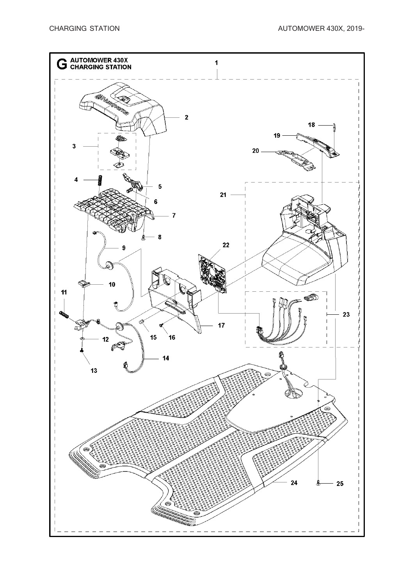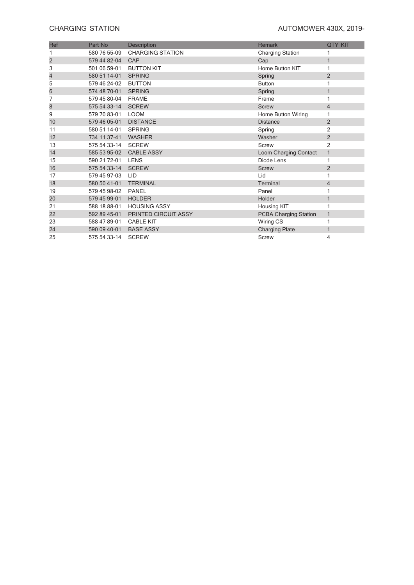### **CHARGING STATION CHARGING STATION**

| Ref            | Part No      | Description             | <b>Remark</b>                | <b>QTY KIT</b> |
|----------------|--------------|-------------------------|------------------------------|----------------|
|                | 580 76 55-09 | <b>CHARGING STATION</b> | <b>Charging Station</b>      |                |
| $\overline{c}$ | 579 44 82-04 | CAP                     | Cap                          | $\mathbf{1}$   |
| 3              | 501 06 59-01 | <b>BUTTON KIT</b>       | Home Button KIT              | 1              |
| 4              | 580 51 14-01 | <b>SPRING</b>           | Spring                       | $\overline{2}$ |
| 5              | 579 46 24-02 | <b>BUTTON</b>           | <b>Button</b>                |                |
| 6              | 574 48 70-01 | <b>SPRING</b>           | Spring                       | $\mathbf{1}$   |
| 7              | 579 45 80-04 | <b>FRAME</b>            | Frame                        | 1              |
| 8              | 575 54 33-14 | <b>SCREW</b>            | <b>Screw</b>                 | 4              |
| 9              | 579 70 83-01 | <b>LOOM</b>             | Home Button Wiring           | 1              |
| 10             | 579 46 05-01 | <b>DISTANCE</b>         | <b>Distance</b>              | $\overline{2}$ |
| 11             | 580 51 14-01 | <b>SPRING</b>           | Spring                       | $\overline{2}$ |
| 12             | 734 11 37-41 | <b>WASHER</b>           | Washer                       | $\overline{2}$ |
| 13             | 575 54 33-14 | <b>SCREW</b>            | Screw                        | $\overline{c}$ |
| 14             | 585 53 95-02 | <b>CABLE ASSY</b>       | Loom Charging Contact        | $\mathbf{1}$   |
| 15             | 590 21 72-01 | <b>LENS</b>             | Diode Lens                   | 1              |
| 16             | 575 54 33-14 | <b>SCREW</b>            | <b>Screw</b>                 | $\overline{2}$ |
| 17             | 579 45 97-03 | <b>LID</b>              | Lid                          | 1              |
| 18             | 580 50 41-01 | <b>TERMINAL</b>         | Terminal                     | 4              |
| 19             | 579 45 98-02 | <b>PANEL</b>            | Panel                        |                |
| 20             | 579 45 99-01 | <b>HOLDER</b>           | Holder                       | $\mathbf{1}$   |
| 21             | 588 18 88-01 | <b>HOUSING ASSY</b>     | Housing KIT                  |                |
| 22             | 592 89 45-01 | PRINTED CIRCUIT ASSY    | <b>PCBA Charging Station</b> | $\mathbf{1}$   |
| 23             | 588 47 89-01 | <b>CABLE KIT</b>        | Wiring CS                    | 1              |
| 24             | 590 09 40-01 | <b>BASE ASSY</b>        | <b>Charging Plate</b>        | $\mathbf{1}$   |
| 25             | 575 54 33-14 | <b>SCREW</b>            | Screw                        | 4              |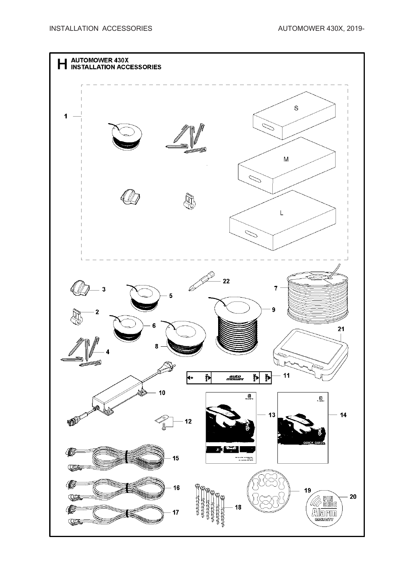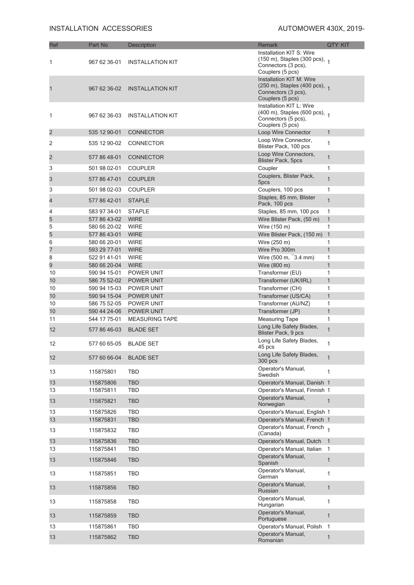### **INSTALLATION ACCESSORIES** AUTOMOWER 430X, 2019-

| Ref               | Part No                      | <b>Description</b>         | <b>Remark</b>                                                                                                   | <b>QTY KIT</b>    |
|-------------------|------------------------------|----------------------------|-----------------------------------------------------------------------------------------------------------------|-------------------|
| 1                 | 967 62 36-01                 | <b>INSTALLATION KIT</b>    | Installation KIT S: Wire<br>(150 m), Staples (300 pcs), 1<br>Connectors (3 pcs),<br>Couplers (5 pcs)            |                   |
|                   | 967 62 36-02                 | <b>INSTALLATION KIT</b>    | Installation KIT M: Wire<br>(250 m), Staples (400 pcs), 1<br>Connectors (3 pcs),<br>Couplers (5 pcs)            |                   |
| 1                 | 967 62 36-03                 | <b>INSTALLATION KIT</b>    | Installation KIT L: Wire<br>$(400 \text{ m})$ , Staples (600 pcs), 1<br>Connectors (5 pcs),<br>Couplers (5 pcs) |                   |
| 2                 | 535 12 90-01                 | <b>CONNECTOR</b>           | Loop Wire Connector                                                                                             | $\mathbf{1}$      |
| 2                 | 535 12 90-02                 | <b>CONNECTOR</b>           | Loop Wire Connector,<br>Blister Pack, 100 pcs                                                                   | 1                 |
| $\overline{c}$    | 577 86 48-01                 | <b>CONNECTOR</b>           | Loop Wire Connectors,<br><b>Blister Pack, 5pcs</b>                                                              | $\mathbf{1}$      |
| 3                 | 501 98 02-01                 | <b>COUPLER</b>             | Coupler                                                                                                         | 1                 |
| 3                 | 577 86 47-01                 | <b>COUPLER</b>             | Couplers, Blister Pack,<br>5pcs                                                                                 | 1                 |
| 3                 | 501 98 02-03                 | <b>COUPLER</b>             | Couplers, 100 pcs                                                                                               | 1                 |
| 4                 | 577 86 42-01                 | <b>STAPLE</b>              | Staples, 85 mm, Blister<br>Pack, 100 pcs                                                                        | $\mathbf{1}$      |
| 4                 | 583 97 34-01                 | <b>STAPLE</b>              | Staples, 85 mm, 100 pcs                                                                                         | 1                 |
| 5                 | 577 86 43-02                 | <b>WIRE</b>                | Wire Blister Pack, (50 m)                                                                                       | $\mathbf{1}$      |
| 5                 | 580 66 20-02                 | <b>WIRE</b>                | Wire (150 m)                                                                                                    | 1                 |
| 5<br>6            | 577 86 43-01<br>580 66 20-01 | <b>WIRE</b><br><b>WIRE</b> | Wire Blister Pack, (150 m)                                                                                      | $\mathbf{1}$<br>1 |
| 7                 | 593 29 77-01                 | <b>WIRE</b>                | Wire (250 m)<br>Wire Pro 300m                                                                                   | $\mathbf{1}$      |
| 8                 | 522 91 41-01                 | <b>WIRE</b>                | Wire $(500 \text{ m}, 3.4 \text{ mm})$                                                                          | 1                 |
| 9                 | 580 66 20-04                 | <b>WIRE</b>                | Wire (800 m)                                                                                                    | $\mathbf{1}$      |
| 10                | 590 94 15-01                 | POWER UNIT                 | Transformer (EU)                                                                                                | 1                 |
| 10                | 586 75 52-02                 | POWER UNIT                 | Transformer (UK/IRL)                                                                                            | 1                 |
| 10                | 590 94 15-03                 | POWER UNIT                 | Transformer (CH)                                                                                                | 1                 |
| 10                | 590 94 15-04                 | POWER UNIT                 | Transformer (US/CA)                                                                                             | $\mathbf{1}$      |
| 10                | 586 75 52-05                 | POWER UNIT                 | Transformer (AU/NZ)                                                                                             | 1                 |
| 10                | 590 44 24-06                 | POWER UNIT                 | Transformer (JP)                                                                                                | $\mathbf{1}$      |
| 11                | 544 17 75-01                 | <b>MEASURING TAPE</b>      | <b>Measuring Tape</b>                                                                                           | $\mathbf{1}$      |
| 12                | 577 86 46-03                 | <b>BLADE SET</b>           | Long Life Safety Blades,<br>Blister Pack, 9 pcs                                                                 | $\mathbf{1}$      |
| $12 \overline{ }$ | 577 60 65-05                 | <b>BLADE SET</b>           | Long Life Safety Blades,<br>45 pcs                                                                              | 1                 |
| 12                | 577 60 66-04                 | <b>BLADE SET</b>           | Long Life Safety Blades,<br>300 pcs                                                                             | $\mathbf{1}$      |
| 13                | 115875801                    | <b>TBD</b>                 | Operator's Manual,<br>Swedish                                                                                   | $\mathbf{1}$      |
| 13                | 115875806                    | TBD                        | Operator's Manual, Danish 1                                                                                     |                   |
| 13                | 115875811                    | TBD                        | Operator's Manual, Finnish 1                                                                                    |                   |
| 13                | 115875821                    | <b>TBD</b>                 | Operator's Manual,<br>Norwegian                                                                                 | $\mathbf{1}$      |
| 13                | 115875826                    | <b>TBD</b>                 | Operator's Manual, English 1                                                                                    |                   |
| 13                | 115875831                    | TBD                        | Operator's Manual, French 1                                                                                     |                   |
| 13                | 115875832                    | <b>TBD</b>                 | Operator's Manual, French 1<br>(Canada)                                                                         |                   |
| 13                | 115875836                    | TBD                        | Operator's Manual, Dutch 1                                                                                      |                   |
| 13                | 115875841                    | TBD                        | Operator's Manual, Italian                                                                                      | $\mathbf{1}$      |
| 13                | 115875846                    | TBD                        | Operator's Manual,<br>Spanish                                                                                   | $\mathbf{1}$      |
| 13                | 115875851                    | <b>TBD</b>                 | Operator's Manual,<br>German                                                                                    | 1                 |
| 13                | 115875856                    | <b>TBD</b>                 | Operator's Manual,<br>Russian                                                                                   | $\mathbf{1}$      |
| 13                | 115875858                    | TBD                        | Operator's Manual,<br>Hungarian                                                                                 | 1                 |
| 13                | 115875859                    | <b>TBD</b>                 | Operator's Manual,<br>Portuguese                                                                                | $\mathbf{1}$      |
| 13                | 115875861                    | TBD                        | Operator's Manual, Polish                                                                                       | $\mathbf{1}$      |
| 13                | 115875862                    | <b>TBD</b>                 | Operator's Manual,<br>Romanian                                                                                  | $\mathbf{1}$      |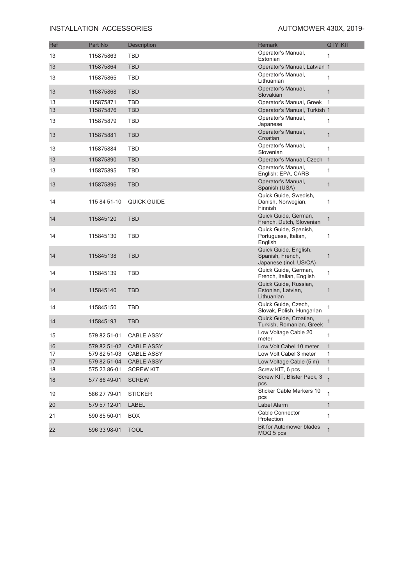### **INSTALLATION ACCESSORIES** AUTOMOWER 430X, 2019-

| Ref | Part No      | Description       | Remark                                                              | <b>QTY KIT</b> |
|-----|--------------|-------------------|---------------------------------------------------------------------|----------------|
| 13  | 115875863    | TBD               | Operator's Manual,<br>Estonian                                      | 1              |
| 13  | 115875864    | TBD               | Operator's Manual, Latvian 1                                        |                |
| 13  | 115875865    | <b>TBD</b>        | Operator's Manual.<br>Lithuanian                                    | $\mathbf{1}$   |
| 13  | 115875868    | <b>TBD</b>        | Operator's Manual,<br>Slovakian                                     | $\mathbf{1}$   |
| 13  | 115875871    | TBD               | Operator's Manual, Greek 1                                          |                |
| 13  | 115875876    | <b>TBD</b>        | Operator's Manual, Turkish 1                                        |                |
| 13  | 115875879    | TBD               | Operator's Manual,<br>Japanese                                      | 1              |
| 13  | 115875881    | <b>TBD</b>        | Operator's Manual,<br>Croatian                                      | $\mathbf{1}$   |
| 13  | 115875884    | <b>TBD</b>        | Operator's Manual,<br>Slovenian                                     | $\mathbf{1}$   |
| 13  | 115875890    | <b>TBD</b>        | Operator's Manual, Czech 1                                          |                |
| 13  | 115875895    | <b>TBD</b>        | Operator's Manual,<br>English: EPA, CARB                            | 1              |
| 13  | 115875896    | <b>TBD</b>        | Operator's Manual,<br>Spanish (USA)                                 | $\mathbf{1}$   |
| 14  | 115 84 51-10 | QUICK GUIDE       | Quick Guide, Swedish,<br>Danish, Norwegian,<br>Finnish              | 1              |
| 14  | 115845120    | <b>TBD</b>        | Quick Guide, German,<br>French, Dutch, Slovenian                    | $\mathbf{1}$   |
| 14  | 115845130    | <b>TBD</b>        | Quick Guide, Spanish,<br>Portuguese, Italian,<br>English            | 1              |
| 14  | 115845138    | <b>TBD</b>        | Quick Guide, English,<br>Spanish, French,<br>Japanese (incl. US/CA) | $\mathbf{1}$   |
| 14  | 115845139    | <b>TBD</b>        | Quick Guide, German,<br>French, Italian, English                    | 1              |
| 14  | 115845140    | <b>TBD</b>        | Quick Guide, Russian,<br>Estonian, Latvian,<br>Lithuanian           | $\mathbf{1}$   |
| 14  | 115845150    | TBD               | Quick Guide, Czech,<br>Slovak, Polish, Hungarian                    | 1              |
| 14  | 115845193    | <b>TBD</b>        | Quick Guide, Croatian,<br>Turkish, Romanian, Greek                  | $\mathbf{1}$   |
| 15  | 579 82 51-01 | <b>CABLE ASSY</b> | Low Voltage Cable 20<br>meter                                       | $\mathbf{1}$   |
| 16  | 579 82 51-02 | <b>CABLE ASSY</b> | Low Volt Cabel 10 meter                                             | $\mathbf{1}$   |
| 17  | 579 82 51-03 | <b>CABLE ASSY</b> | Low Volt Cabel 3 meter                                              | 1              |
| 17  | 579 82 51-04 | <b>CABLE ASSY</b> | Low Voltage Cable (5 m)                                             | $\mathbf{1}$   |
| 18  | 575 23 86-01 | <b>SCREW KIT</b>  | Screw KIT, 6 pcs<br>Screw KIT, Blister Pack, 3                      | 1              |
| 18  | 577 86 49-01 | <b>SCREW</b>      | pcs                                                                 | $\mathbf{1}$   |
| 19  | 586 27 79-01 | <b>STICKER</b>    | Sticker Cable Markers 10<br>pcs                                     | $\mathbf{1}$   |
| 20  | 579 57 12-01 | LABEL             | Label Alarm                                                         | $\mathbf{1}$   |
| 21  | 590 85 50-01 | <b>BOX</b>        | Cable Connector<br>Protection                                       | $\mathbf{1}$   |
| 22  | 596 33 98-01 | <b>TOOL</b>       | <b>Bit for Automower blades</b><br>MOQ 5 pcs                        | $\mathbf{1}$   |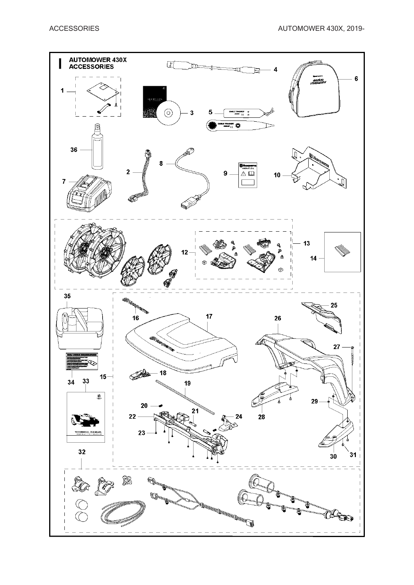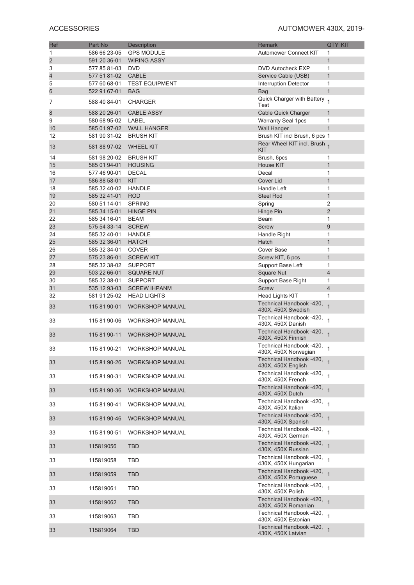| Ref                     | Part No                      | <b>Description</b>                        | <b>Remark</b>                                       | <b>QTY KIT</b>      |
|-------------------------|------------------------------|-------------------------------------------|-----------------------------------------------------|---------------------|
| 1                       | 586 66 23-05                 | <b>GPS MODULE</b>                         | <b>Automower Connect KIT</b>                        | 1                   |
| $\overline{\mathbf{c}}$ | 591 20 36-01                 | <b>WIRING ASSY</b>                        |                                                     | $\mathbf{1}$        |
| 3                       | 577 85 81-03                 | <b>DVD</b>                                | <b>DVD Autocheck EXP</b>                            | 1                   |
| 4                       | 577 51 81-02                 | <b>CABLE</b>                              | Service Cable (USB)                                 | $\mathbf{1}$        |
| 5<br>6                  | 577 60 68-01<br>522 91 67-01 | <b>TEST EQUIPMENT</b><br><b>BAG</b>       | <b>Interruption Detector</b>                        | 1<br>$\mathbf{1}$   |
|                         |                              |                                           | <b>Bag</b><br>Quick Charger with Battery            |                     |
| 7                       | 588 40 84-01                 | <b>CHARGER</b>                            | Test                                                | $\overline{1}$      |
| 8                       | 588 20 26-01                 | <b>CABLE ASSY</b>                         | <b>Cable Quick Charger</b>                          | 1                   |
| 9                       | 580 68 95-02                 | LABEL                                     | <b>Warranty Seal 1pcs</b>                           | 1                   |
| 10                      | 585 01 97-02                 | <b>WALL HANGER</b>                        | <b>Wall Hanger</b>                                  | $\mathbf{1}$        |
| 12                      | 581 90 31-02                 | <b>BRUSH KIT</b>                          | Brush KIT incl Brush, 6 pcs 1                       |                     |
| 13                      | 581 88 97-02                 | <b>WHEEL KIT</b>                          | Rear Wheel KIT incl. Brush 1<br>KIT                 |                     |
| 14                      | 581 98 20-02                 | <b>BRUSH KIT</b>                          | Brush, 6pcs                                         | 1                   |
| 15                      | 585 01 94-01                 | <b>HOUSING</b>                            | House KIT                                           | $\mathbf{1}$        |
| 16                      | 577 46 90-01                 | <b>DECAL</b><br><b>KIT</b>                | Decal                                               | 1                   |
| 17<br>18                | 586 88 58-01<br>585 32 40-02 | <b>HANDLE</b>                             | Cover Lid<br>Handle Left                            | $\mathbf{1}$<br>1   |
| 19                      | 585 32 41-01                 | <b>ROD</b>                                | <b>Steel Rod</b>                                    | $\mathbf{1}$        |
| 20                      | 580 51 14-01                 | <b>SPRING</b>                             | Spring                                              | 2                   |
| 21                      | 585 34 15-01                 | <b>HINGE PIN</b>                          | Hinge Pin                                           | $\overline{2}$      |
| 22                      | 585 34 16-01                 | <b>BEAM</b>                               | Beam                                                | 1                   |
| 23                      | 575 54 33-14                 | <b>SCREW</b>                              | <b>Screw</b>                                        | 9                   |
| 24                      | 585 32 40-01                 | <b>HANDLE</b>                             | Handle Right                                        | 1                   |
| 25                      | 585 32 36-01                 | <b>HATCH</b>                              | Hatch                                               | $\mathbf{1}$        |
| 26                      | 585 32 34-01                 | <b>COVER</b>                              | Cover Base                                          | 1                   |
| 27                      | 575 23 86-01                 | <b>SCREW KIT</b>                          | Screw KIT, 6 pcs                                    | $\mathbf{1}$        |
| 28                      | 585 32 38-02                 | <b>SUPPORT</b>                            | Support Base Left                                   | 1                   |
| 29                      | 503 22 66-01                 | <b>SQUARE NUT</b>                         | <b>Square Nut</b>                                   | $\overline{4}$      |
| 30<br>31                | 585 32 38-01                 | <b>SUPPORT</b>                            | Support Base Right                                  | 1<br>$\overline{4}$ |
| 32                      | 535 12 93-03<br>581 91 25-02 | <b>SCREW IHPANM</b><br><b>HEAD LIGHTS</b> | <b>Screw</b><br>Head Lights KIT                     | 1                   |
| 33                      | 115 81 90-01                 | <b>WORKSHOP MANUAL</b>                    | Technical Handbook -420,<br>430X, 450X Swedish      | 1                   |
| 33                      | 115 81 90-06                 | <b>WORKSHOP MANUAL</b>                    | Technical Handbook -420,<br>430X, 450X Danish       |                     |
| 33                      | 115 81 90-11                 | <b>WORKSHOP MANUAL</b>                    | Technical Handbook -420,<br>430X, 450X Finnish      |                     |
| 33                      | 115 81 90-21                 | <b>WORKSHOP MANUAL</b>                    | Technical Handbook -420,<br>430X, 450X Norwegian    |                     |
| 33                      | 115 81 90-26                 | <b>WORKSHOP MANUAL</b>                    | Technical Handbook -420,<br>430X, 450X English      |                     |
| 33                      | 115 81 90-31                 | WORKSHOP MANUAL                           | Technical Handbook -420,<br>430X, 450X French       |                     |
| 33                      | 115 81 90-36                 | <b>WORKSHOP MANUAL</b>                    | Technical Handbook -420, 1<br>430X, 450X Dutch      |                     |
| 33                      | 115 81 90-41                 | <b>WORKSHOP MANUAL</b>                    | Technical Handbook -420, 1<br>430X, 450X Italian    |                     |
| 33                      | 115 81 90-46                 | <b>WORKSHOP MANUAL</b>                    | Technical Handbook -420, 1<br>430X, 450X Spanish    |                     |
| 33                      | 115 81 90-51                 | <b>WORKSHOP MANUAL</b>                    | Technical Handbook -420,<br>430X, 450X German       |                     |
| 33                      | 115819056                    | <b>TBD</b>                                | Technical Handbook -420, 1<br>430X, 450X Russian    |                     |
| 33                      | 115819058                    | TBD                                       | Technical Handbook -420,<br>430X, 450X Hungarian    |                     |
| 33                      | 115819059                    | <b>TBD</b>                                | Technical Handbook -420, 1<br>430X, 450X Portuguese |                     |
| 33                      | 115819061                    | TBD                                       | Technical Handbook -420,<br>430X, 450X Polish       | $\mathbf{1}$        |
| 33                      | 115819062                    | <b>TBD</b>                                | Technical Handbook -420,<br>430X, 450X Romanian     | $\mathbf{1}$        |
| 33                      | 115819063                    | <b>TBD</b>                                | Technical Handbook -420,<br>430X, 450X Estonian     |                     |
| 33                      | 115819064                    | <b>TBD</b>                                | Technical Handbook -420, 1<br>430X, 450X Latvian    |                     |